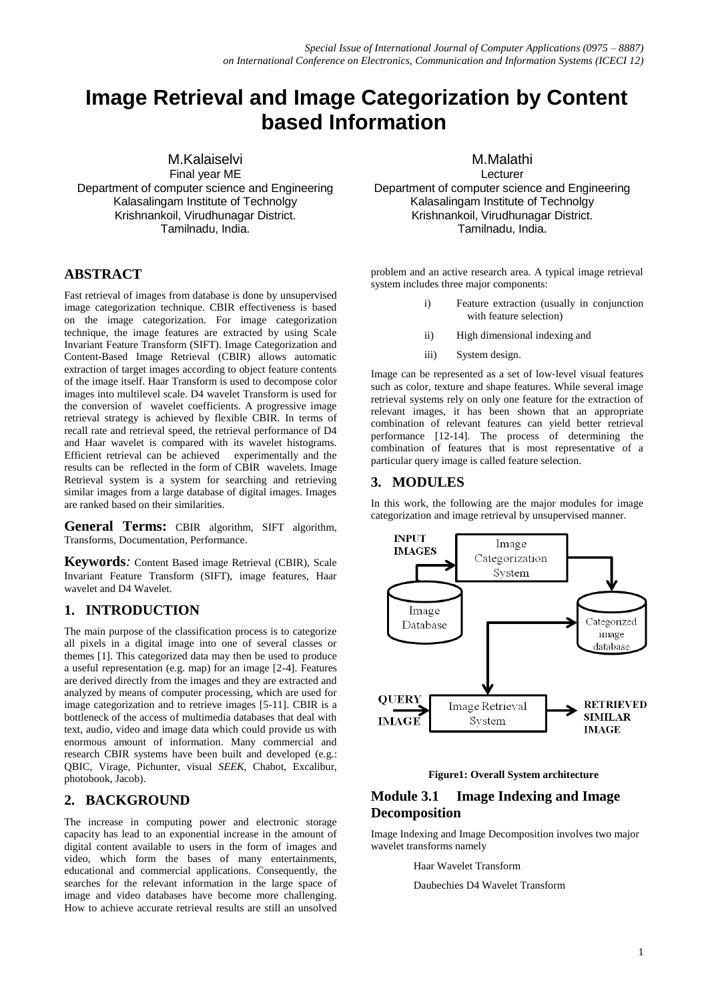# **Image Retrieval and Image Categorization by Content based Information**

M.Kalaiselvi Final year ME Department of computer science and Engineering Kalasalingam Institute of Technolgy Krishnankoil, Virudhunagar District. Tamilnadu, India.

### **ABSTRACT**

Fast retrieval of images from database is done by unsupervised image categorization technique. CBIR effectiveness is based on the image categorization. For image categorization technique, the image features are extracted by using Scale Invariant Feature Transform (SIFT). Image Categorization and Content-Based Image Retrieval (CBIR) allows automatic extraction of target images according to object feature contents of the image itself. Haar Transform is used to decompose color images into multilevel scale. D4 wavelet Transform is used for the conversion of wavelet coefficients. A progressive image retrieval strategy is achieved by flexible CBIR. In terms of recall rate and retrieval speed, the retrieval performance of D4 and Haar wavelet is compared with its wavelet histograms. Efficient retrieval can be achieved experimentally and the results can be reflected in the form of CBIR wavelets. Image Retrieval system is a system for searching and retrieving similar images from a large database of digital images. Images are ranked based on their similarities.

**General Terms:** CBIR algorithm, SIFT algorithm, Transforms, Documentation, Performance.

**Keywords***:* Content Based image Retrieval (CBIR), Scale Invariant Feature Transform (SIFT), image features, Haar wavelet and D4 Wavelet.

## **1. INTRODUCTION**

The main purpose of the classification process is to categorize all pixels in a digital image into one of several classes or themes [1]. This categorized data may then be used to produce a useful representation (e.g. map) for an image [2-4]. Features are derived directly from the images and they are extracted and analyzed by means of computer processing, which are used for image categorization and to retrieve images [5-11]. CBIR is a bottleneck of the access of multimedia databases that deal with text, audio, video and image data which could provide us with enormous amount of information. Many commercial and research CBIR systems have been built and developed (e.g.: QBIC, Virage, Pichunter, visual *SEEK,* Chabot, Excalibur, photobook, Jacob).

#### **2. BACKGROUND**

The increase in computing power and electronic storage capacity has lead to an exponential increase in the amount of digital content available to users in the form of images and video, which form the bases of many entertainments, educational and commercial applications. Consequently, the searches for the relevant information in the large space of image and video databases have become more challenging. How to achieve accurate retrieval results are still an unsolved

M.Malathi

Lecturer Department of computer science and Engineering Kalasalingam Institute of Technolgy Krishnankoil, Virudhunagar District. Tamilnadu, India.

problem and an active research area. A typical image retrieval system includes three major components:

- i) Feature extraction (usually in conjunction with feature selection)
- ii) High dimensional indexing and
- iii) System design.

Image can be represented as a set of low‐level visual features such as color, texture and shape features. While several image retrieval systems rely on only one feature for the extraction of relevant images, it has been shown that an appropriate combination of relevant features can yield better retrieval performance [12-14]. The process of determining the combination of features that is most representative of a particular query image is called feature selection.

### **3. MODULES**

In this work, the following are the major modules for image categorization and image retrieval by unsupervised manner.



**Figure1: Overall System architecture**

### **Module 3.1 Image Indexing and Image Decomposition**

Image Indexing and Image Decomposition involves two major wavelet transforms namely

Haar Wavelet Transform

Daubechies D4 Wavelet Transform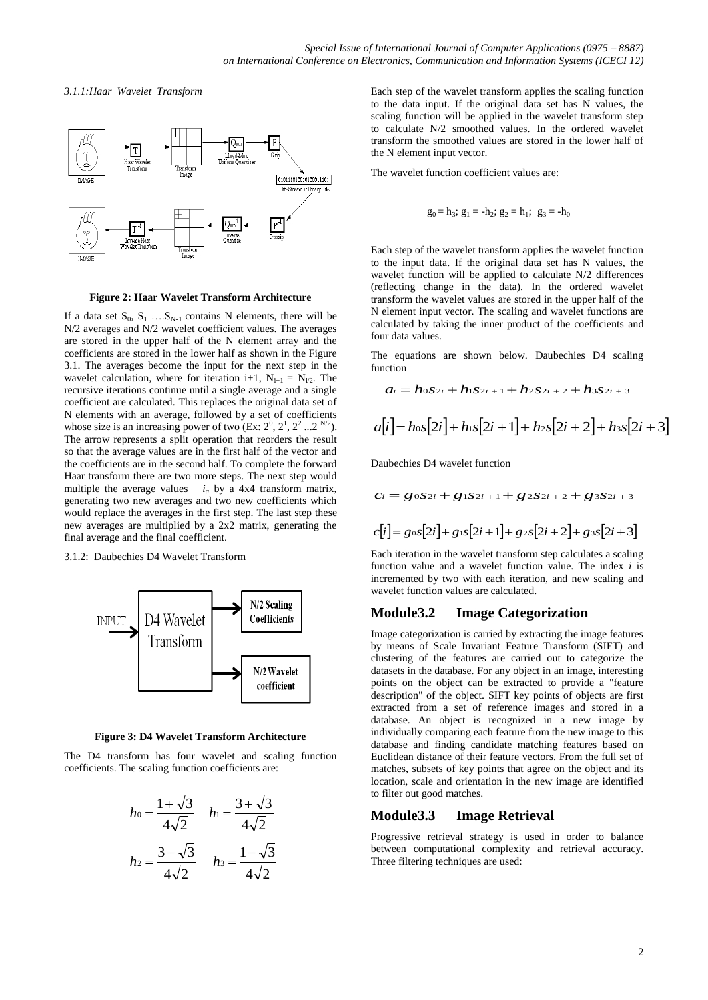*3.1.1:Haar Wavelet Transform*



**Figure 2: Haar Wavelet Transform Architecture**

If a data set  $S_0$ ,  $S_1$  ....  $S_{N-1}$  contains N elements, there will be N/2 averages and N/2 wavelet coefficient values. The averages are stored in the upper half of the N element array and the coefficients are stored in the lower half as shown in the Figure 3.1. The averages become the input for the next step in the wavelet calculation, where for iteration i+1,  $N_{i+1} = N_{i/2}$ . The recursive iterations continue until a single average and a single coefficient are calculated. This replaces the original data set of N elements with an average, followed by a set of coefficients whose size is an increasing power of two  $(Ex: 2^0, 2^1, 2^2 ... 2^{N/2}).$ The arrow represents a split operation that reorders the result so that the average values are in the first half of the vector and the coefficients are in the second half. To complete the forward Haar transform there are two more steps. The next step would multiple the average values *i<sup>a</sup>* by a 4x4 transform matrix, generating two new averages and two new coefficients which would replace the averages in the first step. The last step these new averages are multiplied by a 2x2 matrix, generating the final average and the final coefficient.

#### 3.1.2: Daubechies D4 Wavelet Transform



**Figure 3: D4 Wavelet Transform Architecture**

The D4 transform has four wavelet and scaling function coefficients. The scaling function coefficients are:

$$
h_0 = \frac{1 + \sqrt{3}}{4\sqrt{2}} \quad h_1 = \frac{3 + \sqrt{3}}{4\sqrt{2}}
$$

$$
h_2 = \frac{3 - \sqrt{3}}{4\sqrt{2}} \quad h_3 = \frac{1 - \sqrt{3}}{4\sqrt{2}}
$$

Each step of the wavelet transform applies the scaling function to the data input. If the original data set has N values, the scaling function will be applied in the wavelet transform step to calculate N/2 smoothed values. In the ordered wavelet transform the smoothed values are stored in the lower half of the N element input vector.

The wavelet function coefficient values are:

$$
g_0 = h_3
$$
;  $g_1 = -h_2$ ;  $g_2 = h_1$ ;  $g_3 = -h_0$ 

Each step of the wavelet transform applies the wavelet function to the input data. If the original data set has N values, the wavelet function will be applied to calculate N/2 differences (reflecting change in the data). In the ordered wavelet transform the wavelet values are stored in the upper half of the N element input vector. The scaling and wavelet functions are calculated by taking the inner product of the coefficients and four data values.

The equations are shown below. Daubechies D4 scaling function

$$
a_i = h_0 s_{2i} + h_1 s_{2i+1} + h_2 s_{2i+2} + h_3 s_{2i+3}
$$
  

$$
a[i] = h_0 s[2i] + h_1 s[2i+1] + h_2 s[2i+2] + h_3 s[2i+3]
$$

Daubechies D4 wavelet function

$$
C_i = g_0 S_{2i} + g_1 S_{2i+1} + g_2 S_{2i+2} + g_3 S_{2i+3}
$$
  

$$
c[i] = g_0 s[2i] + g_1 s[2i+1] + g_2 s[2i+2] + g_3 s[2i+3]
$$

Each iteration in the wavelet transform step calculates a scaling function value and a wavelet function value. The index *i* is incremented by two with each iteration, and new scaling and wavelet function values are calculated.

## **Module3.2 Image Categorization**

Image categorization is carried by extracting the image features by means of Scale Invariant Feature Transform (SIFT) and clustering of the features are carried out to categorize the datasets in the database. For any object in an image, interesting points on the object can be extracted to provide a "feature description" of the object. SIFT key points of objects are first extracted from a set of reference images and stored in a database. An object is recognized in a new image by individually comparing each feature from the new image to this database and finding candidate matching features based on Euclidean distance of their feature vectors. From the full set of matches, subsets of key points that agree on the object and its location, scale and orientation in the new image are identified to filter out good matches.

#### **Module3.3 Image Retrieval**

Progressive retrieval strategy is used in order to balance between computational complexity and retrieval accuracy. Three filtering techniques are used: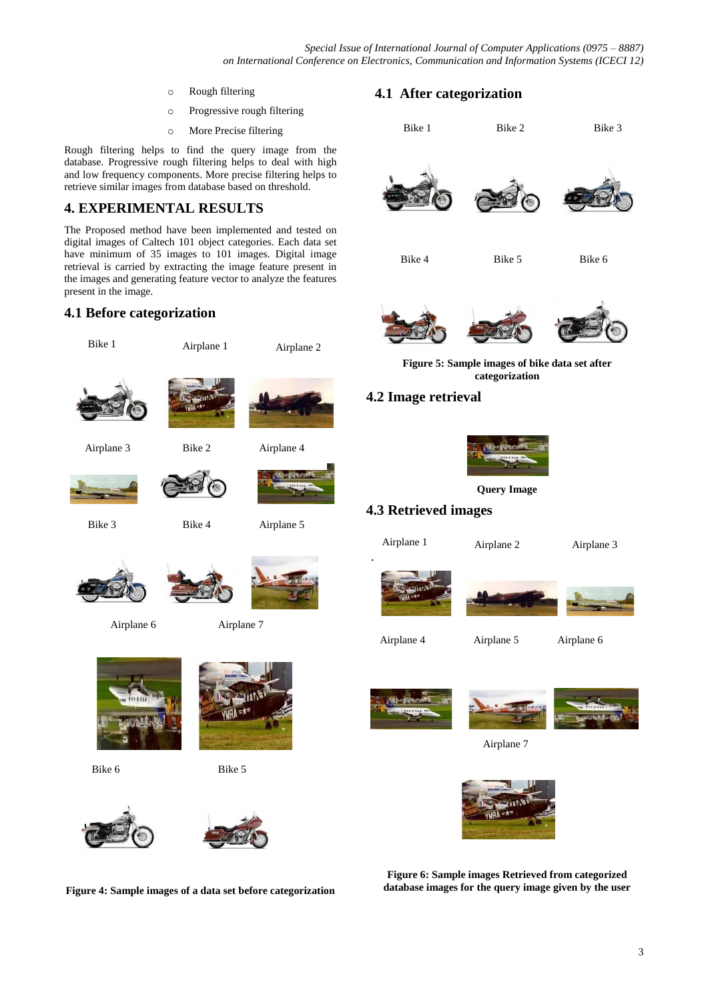- o Rough filtering
- o Progressive rough filtering
- o More Precise filtering

Rough filtering helps to find the query image from the database. Progressive rough filtering helps to deal with high and low frequency components. More precise filtering helps to retrieve similar images from database based on threshold.

## **4. EXPERIMENTAL RESULTS**

The Proposed method have been implemented and tested on digital images of Caltech 101 object categories. Each data set have minimum of 35 images to 101 images. Digital image retrieval is carried by extracting the image feature present in the images and generating feature vector to analyze the features present in the image.

Bike 2

## **4.1 Before categorization**

Bike 1





Bike 6

Bike 5



**Figure 4: Sample images of a data set before categorization**

## **4.1 After categorization**



**Figure 6: Sample images Retrieved from categorized database images for the query image given by the user**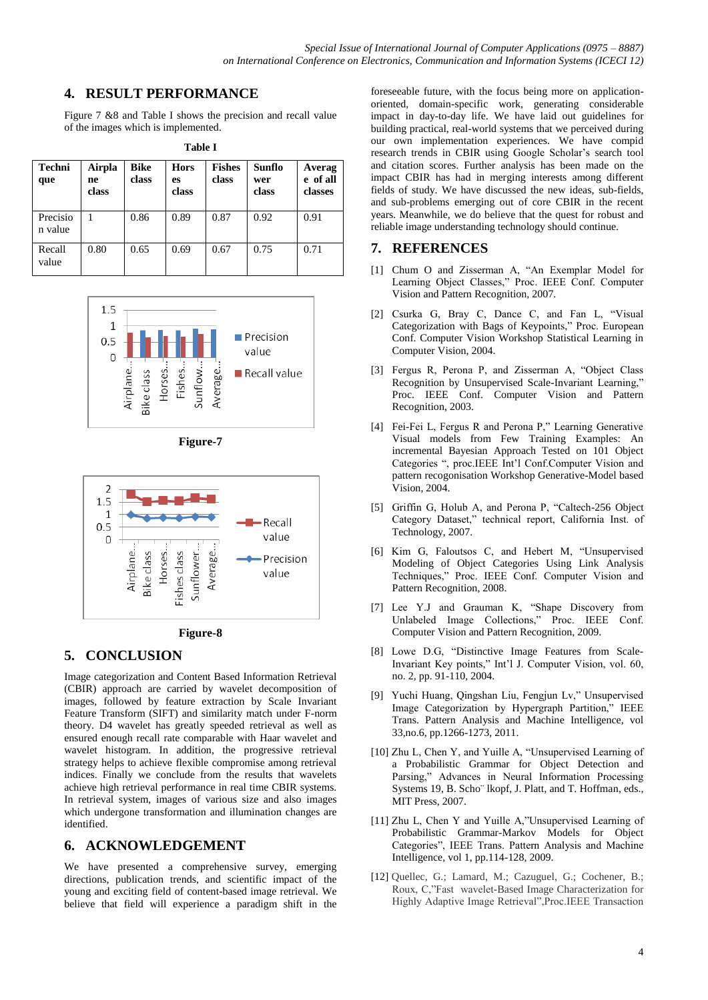## **4. RESULT PERFORMANCE**

Figure 7 &8 and Table I shows the precision and recall value of the images which is implemented.

| l'able I |  |
|----------|--|
|          |  |

| <b>Techni</b><br>que | Airpla<br>ne<br>class | <b>Bike</b><br>class | <b>Hors</b><br>es<br>class | <b>Fishes</b><br>class | Sunflo<br>wer<br>class | Averag<br>e of all<br>classes |
|----------------------|-----------------------|----------------------|----------------------------|------------------------|------------------------|-------------------------------|
| Precisio<br>n value  |                       | 0.86                 | 0.89                       | 0.87                   | 0.92                   | 0.91                          |
| Recall<br>value      | 0.80                  | 0.65                 | 0.69                       | 0.67                   | 0.75                   | 0.71                          |









## **5. CONCLUSION**

Image categorization and Content Based Information Retrieval (CBIR) approach are carried by wavelet decomposition of images, followed by feature extraction by Scale Invariant Feature Transform (SIFT) and similarity match under F-norm theory. D4 wavelet has greatly speeded retrieval as well as ensured enough recall rate comparable with Haar wavelet and wavelet histogram. In addition, the progressive retrieval strategy helps to achieve flexible compromise among retrieval indices. Finally we conclude from the results that wavelets achieve high retrieval performance in real time CBIR systems. In retrieval system, images of various size and also images which undergone transformation and illumination changes are identified.

#### **6. ACKNOWLEDGEMENT**

We have presented a comprehensive survey, emerging directions, publication trends, and scientific impact of the young and exciting field of content-based image retrieval. We believe that field will experience a paradigm shift in the foreseeable future, with the focus being more on applicationoriented, domain-specific work, generating considerable impact in day-to-day life. We have laid out guidelines for building practical, real-world systems that we perceived during our own implementation experiences. We have compid research trends in CBIR using Google Scholar's search tool and citation scores. Further analysis has been made on the impact CBIR has had in merging interests among different fields of study. We have discussed the new ideas, sub-fields, and sub-problems emerging out of core CBIR in the recent years. Meanwhile, we do believe that the quest for robust and reliable image understanding technology should continue.

#### **7. REFERENCES**

- [1] Chum O and Zisserman A, "An Exemplar Model for Learning Object Classes," Proc. IEEE Conf. Computer Vision and Pattern Recognition, 2007.
- [2] Csurka G, Bray C, Dance C, and Fan L, "Visual Categorization with Bags of Keypoints," Proc. European Conf. Computer Vision Workshop Statistical Learning in Computer Vision, 2004.
- [3] Fergus R, Perona P, and Zisserman A, "Object Class Recognition by Unsupervised Scale-Invariant Learning," Proc. IEEE Conf. Computer Vision and Pattern Recognition, 2003.
- [4] Fei-Fei L, Fergus R and Perona P," Learning Generative Visual models from Few Training Examples: An incremental Bayesian Approach Tested on 101 Object Categories ", proc.IEEE Int'l Conf.Computer Vision and pattern recogonisation Workshop Generative-Model based Vision, 2004.
- [5] Griffin G, Holub A, and Perona P, "Caltech-256 Object Category Dataset," technical report, California Inst. of Technology, 2007.
- [6] Kim G, Faloutsos C, and Hebert M, "Unsupervised Modeling of Object Categories Using Link Analysis Techniques," Proc. IEEE Conf. Computer Vision and Pattern Recognition, 2008.
- [7] Lee Y.J and Grauman K, "Shape Discovery from Unlabeled Image Collections," Proc. IEEE Conf. Computer Vision and Pattern Recognition, 2009.
- [8] Lowe D.G, "Distinctive Image Features from Scale-Invariant Key points," Int'l J. Computer Vision, vol. 60, no. 2, pp. 91-110, 2004.
- [9] Yuchi Huang, Qingshan Liu, Fengjun Lv," Unsupervised Image Categorization by Hypergraph Partition," IEEE Trans. Pattern Analysis and Machine Intelligence, vol 33,no.6, pp.1266-1273, 2011.
- [10] Zhu L, Chen Y, and Yuille A, "Unsupervised Learning of a Probabilistic Grammar for Object Detection and Parsing," Advances in Neural Information Processing Systems 19, B. Scho¨ lkopf, J. Platt, and T. Hoffman, eds., MIT Press, 2007.
- [11] Zhu L, Chen Y and Yuille A,"Unsupervised Learning of Probabilistic Grammar-Markov Models for Object Categories", IEEE Trans. Pattern Analysis and Machine Intelligence, vol 1, pp.114-128, 2009.
- [12] Quellec, G.; Lamard, M.; Cazuguel, G.; Cochener, B.; Roux, C,"Fast wavelet-Based Image Characterization for Highly Adaptive Image Retrieval",Proc.IEEE Transaction